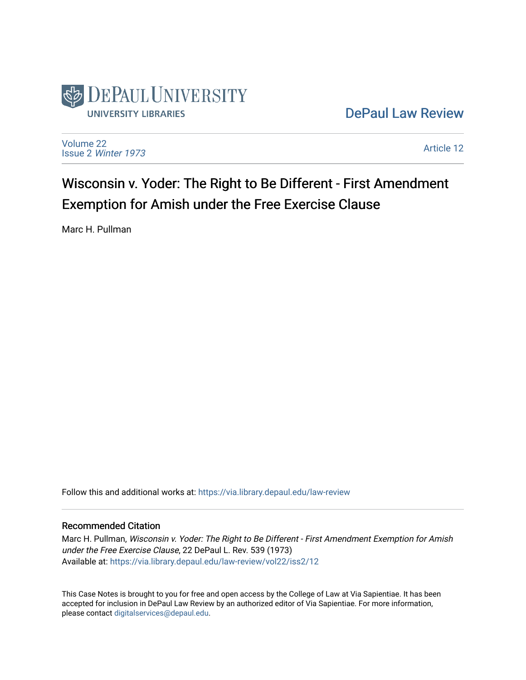

[DePaul Law Review](https://via.library.depaul.edu/law-review) 

[Volume 22](https://via.library.depaul.edu/law-review/vol22) Issue 2 [Winter 1973](https://via.library.depaul.edu/law-review/vol22/iss2) 

[Article 12](https://via.library.depaul.edu/law-review/vol22/iss2/12) 

Wisconsin v. Yoder: The Right to Be Different - First Amendment Exemption for Amish under the Free Exercise Clause

Marc H. Pullman

Follow this and additional works at: [https://via.library.depaul.edu/law-review](https://via.library.depaul.edu/law-review?utm_source=via.library.depaul.edu%2Flaw-review%2Fvol22%2Fiss2%2F12&utm_medium=PDF&utm_campaign=PDFCoverPages) 

### Recommended Citation

Marc H. Pullman, Wisconsin v. Yoder: The Right to Be Different - First Amendment Exemption for Amish under the Free Exercise Clause, 22 DePaul L. Rev. 539 (1973) Available at: [https://via.library.depaul.edu/law-review/vol22/iss2/12](https://via.library.depaul.edu/law-review/vol22/iss2/12?utm_source=via.library.depaul.edu%2Flaw-review%2Fvol22%2Fiss2%2F12&utm_medium=PDF&utm_campaign=PDFCoverPages)

This Case Notes is brought to you for free and open access by the College of Law at Via Sapientiae. It has been accepted for inclusion in DePaul Law Review by an authorized editor of Via Sapientiae. For more information, please contact [digitalservices@depaul.edu.](mailto:digitalservices@depaul.edu)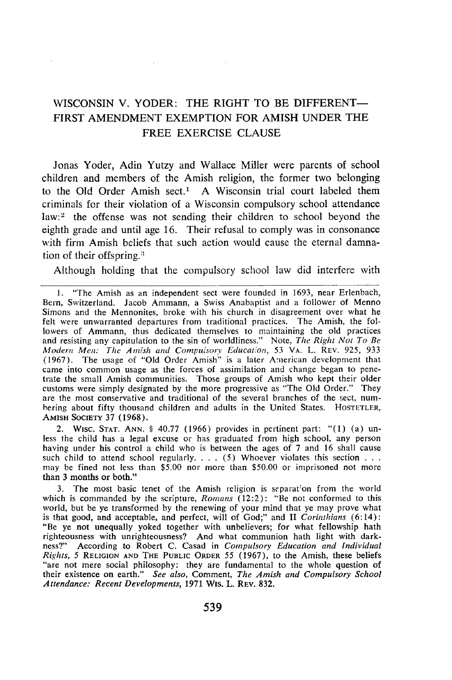# WISCONSIN V. YODER: THE RIGHT TO BE DIFFERENT-FIRST **AMENDMENT EXEMPTION** FOR **AMISH UNDER** THE FREE EXERCISE **CLAUSE**

Jonas Yoder, Adin Yutzy and Wallace Miller were parents of school children and members of the Amish religion, the former two belonging to the Old Order Amish sect.' A Wisconsin trial court labeled them criminals for their violation of a Wisconsin compulsory school attendance law:<sup>2</sup> the offense was not sending their children to school beyond the eighth grade and until age 16. Their refusal to comply was in consonance with firm Amish beliefs that such action would cause the eternal damnation of their offspring.<sup>3</sup>

Although holding that the compulsory school law did interfere with

2. WISC. STAT. ANN. § 40.77 (1966) provides in pertinent part: "(1) (a) un-<br>less the child has a legal excuse or has graduated from high school, any person having under his control a child who is between the ages of 7 and 16 shall cause such child to attend school regularly. . **.** . (5) Whoever violates this section **. . .** may be fined not less than \$5.00 nor more than \$50.00 or imprisoned not more than 3 months or both."

The most basic tenet of the Amish religion is separation from the world which is commanded by the scripture, *Romans* (12:2): "Be not conformed to this world, but be ye transformed by the renewing of your mind that ye may prove what is that good, and acceptable, and perfect, will of God;" and II *Corinthians* (6:14): "Be ye not unequally yoked together with unbelievers; for what fellowship hath righteousness with unrighteousness? And what communion hath light with darkness?" According to Robert C. Casad in *Compulsory Education and Individual Rights, 5* **RELIGION AND THE PUBLIC** ORDER 55 (1967), to the Amish, these beliefs "are not mere social philosophy: they are fundamental to the whole question of their existence on earth." *See also,* Comment, *The Amish and Compulsory School Attendance: Recent Developments,* 1971 WIS. L. REV. 832.

<sup>1. &</sup>quot;The Amish as an independent sect were founded in 1693, near Erlenbach, Bern, Switzerland. Jacob Ammann, a Swiss Anabaptist and a follower of Menno Simons and the Mennonites, broke with his church in disagreement over what he felt were unwarranted departures from traditional practices. **The** Amish, the followers of Ammann, thus dedicated themselves to maintaining the old practices and resisting any capitulation to the sin of worldliness." Note, *The Right Not To Be Modern Men: The Amish and Computsorv Education,* 53 VA. L. REV. 925, 933 (1967). The usage of "Old Order Amish" is a later American development that came into common usage as the forces of assimilation and change began to penetrate the small Amish communities. Those groups of Amish who kept their older customs were simply designated by the more progressive as "The Old Order." They are the most conservative and traditional of the several branches of the sect, numbering about fifty thousand children and adults in the United States. HOSTETLER, **AMISH SOCIETY** 37 (1968).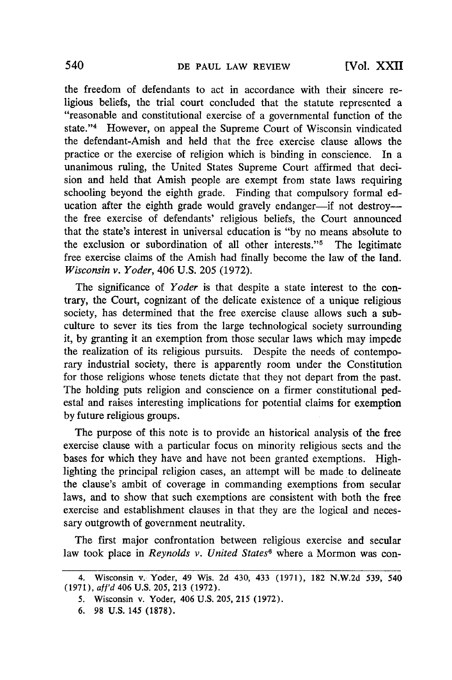the freedom of defendants to act in accordance with their sincere religious beliefs, the trial court concluded that the statute represented a "reasonable and constitutional exercise of a governmental function of the state."<sup>4</sup> However, on appeal the Supreme Court of Wisconsin vindicated the defendant-Amish and held that the free exercise clause allows the practice or the exercise of religion which is binding in conscience. In a unanimous ruling, the United States Supreme Court affirmed that decision and held that Amish people are exempt from state laws requiring schooling beyond the eighth grade. Finding that compulsory formal education after the eighth grade would gravely endanger—if not destroy the free exercise of defendants' religious beliefs, the Court announced that the state's interest in universal education is "by no means absolute to the exclusion or subordination of all other interests."<sup> $5$ </sup> The legitimate free exercise claims of the Amish had finally become the law of the land. *Wisconsin v. Yoder,* 406 U.S. 205 (1972).

The significance of *Yoder* is that despite a state interest to the contrary, the Court, cognizant of the delicate existence of a unique religious society, has determined that the free exercise clause allows such a subculture to sever its ties from the large technological society surrounding it, by granting it an exemption from those secular laws which may impede the realization of its religious pursuits. Despite the needs of contemporary industrial society, there is apparently room under the Constitution for those religions whose tenets dictate that they not depart from the past. The holding puts religion and conscience on a firmer constitutional pedestal and raises interesting implications for potential claims for exemption by future religious groups.

The purpose of this note is to provide an historical analysis of the free exercise clause with a particular focus on minority religious sects and the bases for which they have and have not been granted exemptions. Highlighting the principal religion cases, an attempt will be made to delineate the clause's ambit of coverage in commanding exemptions from secular laws, and to show that such exemptions are consistent with both the free exercise and establishment clauses in that they are the logical and necessary outgrowth of government neutrality.

The first major confrontation between religious exercise and secular law took place in *Reynolds v. United States6* where a Mormon was con-

<sup>4.</sup> Wisconsin v. Yoder, 49 Wis. 2d 430, 433 (1971), 182 N.W.2d 539, 540 (1971), aff'd 406 U.S. 205, 213 (1972).

<sup>5.</sup> Wisconsin v. Yoder, 406 U.S. 205, 215 (1972).

**<sup>6. 98</sup> U.S.** 145 **(1878).**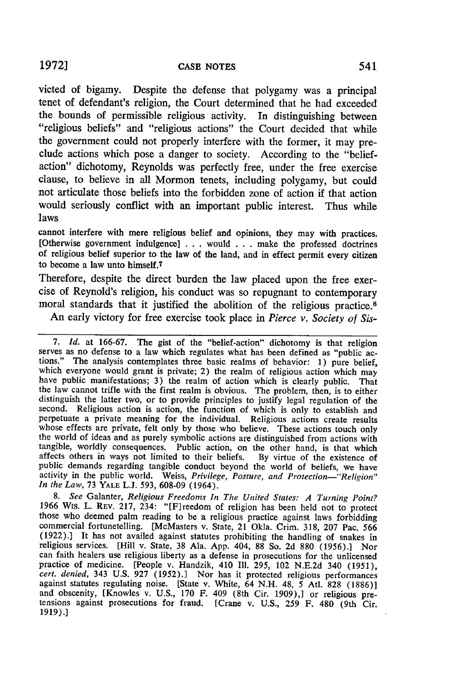victed of bigamy. Despite the defense that polygamy was a principal tenet of defendant's religion, the Court determined that he had exceeded the bounds of permissible religious activity. In distinguishing between "religious beliefs" and "religious actions" the Court decided that while the government could not properly interfere with the former, it may preclude actions which pose a danger to society. According to the "beliefaction" dichotomy, Reynolds was perfectly free, under the free exercise clause, to believe in all Mormon tenets, including polygamy, but could not articulate those beliefs into the forbidden zone of action if that action would seriously conflict with an important public interest. Thus while laws

cannot interfere with mere religious belief and opinions, they may with practices. [Otherwise government indulgence] **. ..** would **.** . . make the professed doctrines of religious belief superior to the law of the land, and in effect permit every citizen to become a law unto himself.<sup>7</sup>

Therefore, despite the direct burden the law placed upon the free exercise of Reynold's religion, his conduct was so repugnant to contemporary moral standards that it justified the abolition of the religious practice.8

An early victory for free exercise took place in *Pierce v. Society of Sis-*

7. Id. at 166-67. The gist of the "belief-action" dichotomy is that religion serves as no defense to a law which regulates what has been defined as "public actions." The analysis contemplates three basic realms of behavior the law cannot trifle with the first realm is obvious. The problem, then, is to either distinguish the latter two, or to provide principles to justify legal regulation of the second. Religious action is action, the function of which is only to establish and perpetuate a private meaning for the individual. Religious actions create results whose effects are private, felt only **by** those who believe. These actions touch only the world of ideas and as purely symbolic actions are distinguished from actions with tangible, worldly consequences. Public action, on the other hand, is that which affects others in ways not limited to their beliefs. **By** virtue of the existence of public demands regarding tangible conduct beyond the world of beliefs, we have activity in the public world. Weiss, *Privilege, Posture, and Protection-"Religion" In the Law,* 73 YALE L.J. 593, 608-09 (1964).

*8. See* Galanter, *Religious Freedoms In The United States: A Turning Point?* those who deemed palm reading to be a religious practice against laws forbidding commercial fortunetelling. [McMasters v. State, 21 Okla. Crim. 318, 207 Pac. 566 (1922).] It has not availed against statutes prohibiting the handling of snakes in religious services. [Hill v. State, 38 Ala. App. 404, 88 So. 2d 880 (1956).] Nor can faith healers use religious liberty as a defense in prosecutions for the unlicensed practice of medicine. [People v. Handzik, 410 Ill. 295, 102 N.E.2d 340 (1951), cert. denied, 343 U.S. 927 (1952).] Nor has it protected religious performances against statutes regulating noise. [State v. White, 64 N.H. 48, 5 Atl. 828 (1886)]<br>and obscenity, [Knowles v. U.S., 170 F. 409 (8th Cir. 1909),] or religious pre-<br>tensions against prosecutions for fraud. [Crane v. U.S., 25 1919).]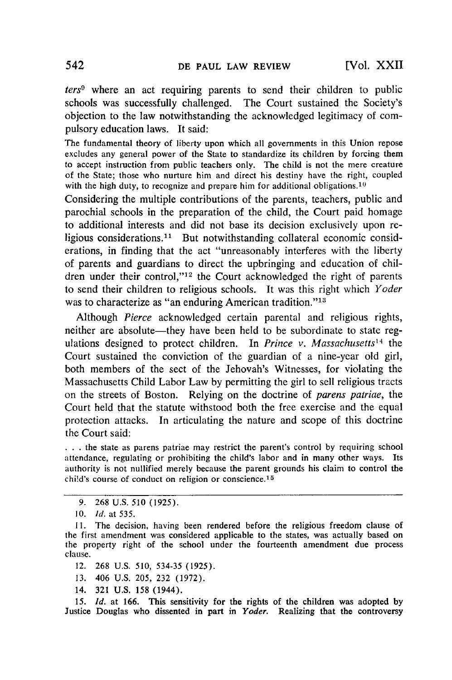*ters9* where an act requiring parents to send their children to public schools was successfully challenged. The Court sustained the Society's objection to the law notwithstanding the acknowledged legitimacy of compulsory education laws. It said:

The fundamental theory of liberty upon which all governments in this Union repose excludes any general power of the State to standardize its children by forcing them to accept instruction from public teachers only. The child is not the mere creature of the State; those who nurture him and direct his destiny have the right, coupled with the high duty, to recognize and prepare him for additional obligations.<sup>10</sup>

Considering the multiple contributions of the parents, teachers, public and parochial schools in the preparation of the child, the Court paid homage to additional interests and did not base its decision exclusively upon religious considerations.<sup>11</sup> But notwithstanding collateral economic considerations, in finding that the act "unreasonably interferes with the liberty of parents and guardians to direct the upbringing and education of children under their control,"<sup>12</sup> the Court acknowledged the right of parents to send their children to religious schools. It was this right which *Yoder* was to characterize as "an enduring American tradition."<sup>13</sup>

Although *Pierce* acknowledged certain parental and religious rights, neither are absolute—they have been held to be subordinate to state regulations designed to protect children. In *Prince v. Massachusetts14* the Court sustained the conviction of the guardian of a nine-year old girl, both members of the sect of the Jehovah's Witnesses, for violating the Massachusetts Child Labor Law by permitting the girl to sell religious tracts on the streets of Boston. Relying on the doctrine of *parens patriae,* the Court held that the statute withstood both the free exercise and the equal protection attacks. In articulating the nature and scope of this doctrine the Court said:

**• . .** the state as parens patriae may restrict the parent's control by requiring school attendance, regulating or prohibiting the child's labor and in many other ways. Its authority is not nullified merely because the parent grounds his claim to control the child's course of conduct on religion or conscience.<sup>15</sup>

- 13. 406 U.S. 205, 232 (1972).
- 14. 321 U.S. 158 (1944).

*15. Id.* at 166. This sensitivity for the rights of the children was adopted **by** Justice Douglas who dissented in part in *Yoder.* Realizing that the controversy

<sup>9. 268</sup> U.S. 510 (1925).

<sup>10.</sup> *Id.* at *535.*

<sup>11.</sup> The decision, having been rendered before the religious freedom clause of the first amendment was considered applicable to the states, was actually based on the property right of the school under the fourteenth amendment due process clause.

<sup>12. 268</sup> U.S. 510, 534-35 (1925).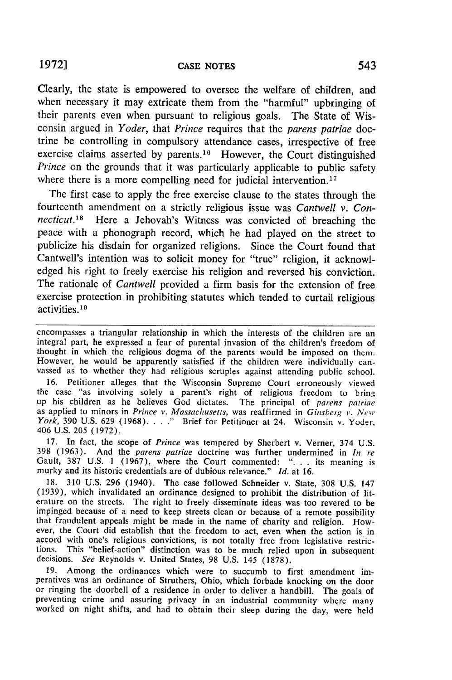Clearly, the state is empowered to oversee the welfare of children, and when necessary it may extricate them from the "harmful" upbringing of their parents even when pursuant to religious goals. The State of Wisconsin argued in *Yoder,* that *Prince* requires that the *parens patriae* doctrine be controlling in compulsory attendance cases, irrespective of free exercise claims asserted by parents.<sup>16</sup> However, the Court distinguished *Prince* on the grounds that it was particularly applicable to public safety where there is a more compelling need for judicial intervention.<sup>17</sup>

The first case to apply the free exercise clause to the states through the fourteenth amendment on a strictly religious issue was *Cantwell v. Connecticut.*<sup>18</sup> Here a Jehovah's Witness was convicted of breaching the peace with a phonograph record, which he had played on the street to publicize his disdain for organized religions. Since the Court found that Cantwell's intention was to solicit money for "true" religion, it acknowledged his right to freely exercise his religion and reversed his conviction. The rationale of *Cantwell* provided a firm basis for the extension of free exercise protection in prohibiting statutes which tended to curtail religious activities. <sup>19</sup>

encompasses a triangular relationship in which the interests of the children are an integral part, he expressed a fear of parental invasion of the children's freedom of thought in which the religious dogma of the parents would be imposed on them. However, he would be apparently satisfied if the children were individually can-<br>vassed as to whether they had religious scruples against attending public school.

16. Petitioner alleges that the Wisconsin Supreme Court erroneously viewed the case "as involving solely a parent's right of religious freedom to bring up his children as he believes God dictates. The principal of *parens patriae* as applied to minors in *Prince v. Massachusetts,* was reaffirmed in *Ginsberg v. New York*, 390 U.S. 629 (1968)...." Brief for Petitioner at 24. Wisconsin v. Yoder, 406 U.S. 205 (1972).

17. In fact, the scope of *Prince* was tempered by Sherbert v. Verner, 374 U.S. 398 (1963). And the *parens patriae* doctrine was further undermined in *In re* 398 (1963). And the *parens patriae* doctrine was further undermined in *In re* Gault, 387 U.S. 1 (1967), where the Court commented: ". **.** . its meaning is murky and its historic credentials are of dubious relevance." *Id.* at 16.

18. 310 U.S. 296 (1940). The case followed Schneider v. State, 308 U.S. 147 (1939), which invalidated an ordinance designed to prohibit the distribution of literature on the streets. The right to freely disseminate ideas was too revered to be impinged because of a need to keep streets clean or because of a remote possibility that fraudulent appeals might be made in the name of charity and religion. However, the Court did establish that the freedom to act, even when the action is in accord with one's religious convictions, is not totally free from legislative restrictions. This "belief-action" distinction was to be much relied upon in subsequent decisions. *See* Reynolds v. United States, 98 U.S. 145 (1878).

19. Among the ordinances which were to succumb to first amendment imperatives was an ordinance of Struthers, Ohio, which forbade knocking on the door or ringing the doorbell of a residence in order to deliver a handbill. The goals of preventing crime and assuring privacy in an industrial community where many worked on night shifts, and had to obtain their sleep during the day, were held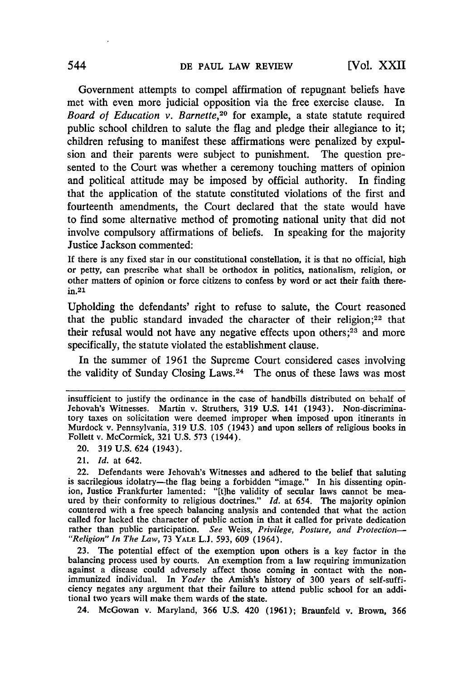Government attempts to compel affirmation of repugnant beliefs have met with even more judicial opposition via the free exercise clause. In Board of *Education v. Barnette,20* for example, a state statute required public school children to salute the flag and pledge their allegiance to it; children refusing to manifest these affirmations were penalized by expulsion and their parents were subject to punishment. The question presented to the Court was whether a ceremony touching matters of opinion and political attitude may be imposed by official authority. In finding that the application of the statute constituted violations of the first and fourteenth amendments, the Court declared that the state would have to find some alternative method of promoting national unity that did not involve compulsory affirmations of beliefs. In speaking for the majority Justice Jackson commented:

**If** there is any fixed star in our constitutional constellation, it is that no official, high or petty, can prescribe what shall be orthodox in politics, nationalism, religion, or other matters of opinion or force citizens to confess **by** word or act their faith therein.21

Upholding the defendants' right to refuse to salute, the Court reasoned that the public standard invaded the character of their religion; $22$  that their refusal would not have any negative effects upon others;<sup>23</sup> and more specifically, the statute violated the establishment clause.

In the summer of 1961 the Supreme Court considered cases involving the validity of Sunday Closing Laws. 24 The onus of these laws was most

20. 319 U.S. 624 (1943).

21. *Id.* at 642.

**23.** The potential effect of the exemption upon others is a key factor in the balancing process used **by** courts. An exemption from a law requiring immunization against a disease could adversely affect those coming in contact with the non- immunized individual. In *Yoder* the Amish's history of **300** years of self-sufficiency negates any argument that their failure to attend public school for an additional two years will make them wards of the state.

24. McGowan v. Maryland, **366 U.S.** 420 **(1961);** Braunfeld v. Brown, **366**

insufficient to justify the ordinance in the case of handbills distributed on behalf of Jehovah's Witnesses. Martin v. Struthers, 319 U.S. 141 (1943). Non-discriminatory taxes on solicitation were deemed improper when imposed upon itinerants in Murdock v. Pennsylvania, 319 U.S. 105 (1943) and upon sellers of religious books in Follett v. McCormick, 321 U.S. 573 (1944).

<sup>22.</sup> Defendants were Jehovah's Witnesses and adhered to the belief that saluting is sacrilegious idolatry—the flag being a forbidden "image." In his dissenting opinion, Justice Frankfurter lamented: "[tihe validity of secular laws cannot be mea- ured **by** their conformity to religious doctrines." *Id.* at 654. The majority opinion countered with a free speech balancing analysis and contended that what the action called for lacked the character of public action in that it called for private dedication rather than public participation. *See* Weiss, *Privilege, Posture, and Protection- "Religion" In The* Law, **73 YALE L.J. 593, 609** (1964).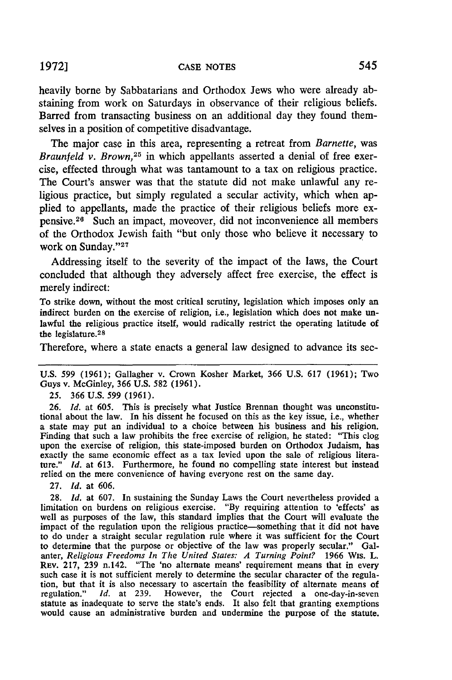heavily borne by Sabbatarians and Orthodox Jews who were already abstaining from work on Saturdays in observance of their religious beliefs. Barred from transacting business on an additional day they found themselves in a position of competitive disadvantage.

The major case in this area, representing a retreat from *Barnette,* was *Braunfeld v. Brown*,<sup>25</sup> in which appellants asserted a denial of free exercise, effected through what was tantamount to a tax on religious practice. The Court's answer was that the statute did not make unlawful any religious practice, but simply regulated a secular activity, which when applied to appellants, made the practice of their religious beliefs more expensive.26 Such an impact, moveover, did not inconvenience all members of the Orthodox Jewish faith "but only those who believe it necessary to work on Sunday."<sup>27</sup>

Addressing itself to the severity of the impact of the laws, the Court concluded that although they adversely affect free exercise, the effect is merely indirect:

To strike down, without the most critical scrutiny, legislation which imposes only an indirect burden on the exercise of religion, i.e., legislation which does not make unlawful the religious practice itself, would radically restrict the operating latitude of the legislature. <sup>28</sup>

Therefore, where a state enacts a general law designed to advance its sec-

U.S. 599 (1961); Gallagher v. Crown Kosher Market, **366 U.S. 617 (1961);** Two Guys v. McGinley, 366 U.S. 582 **(1961).**

25. 366 U.S. 599 **(1961).**

**26.** *Id.* at 605. This is precisely what Justice Brennan thought was unconstitutional about the law. In his dissent he focused on this as the key issue, i.e., whether a state may put an individual to a choice between his business and his religion. Finding that such a law prohibits the free exercise of religion, he stated: "This clog upon the exercise of religion, this state-imposed burden on Orthodox Judaism, has exactly the same economic effect as a tax levied upon the sale of religious literature." *Id.* at 613. Furthermore, he found no compelling state interest but instead relied on the mere convenience of having everyone rest on the same day.

27. *Id.* at 606.

28. *Id.* at 607. In sustaining the Sunday Laws the Court nevertheless provided a limitation on burdens on religious exercise. "By requiring attention to 'effects' as well as purposes of the law, this standard implies that the Court will evaluate the impact of the regulation upon the religious practice-something that it did not have to do under a straight secular regulation rule where it was sufficient for the Court to determine that the purpose or objective of the law was properly secular." Galanter, *Religious Freedoms In The United States: A Turning Point?* 1966 Wis. L. REv. 217, 239 n.142. "The 'no alternate means' requirement means that in every such case it is not sufficient merely to determine the secular character of the regulation, but that it is also necessary to ascertain the feasibility of alternate means of regulation." *Id.* at 239. However, the Court rejected a one-day-in-seven statute as inadequate to serve the state's ends. It also felt that granting exemptions would cause an administrative burden and undermine the purpose of the statute.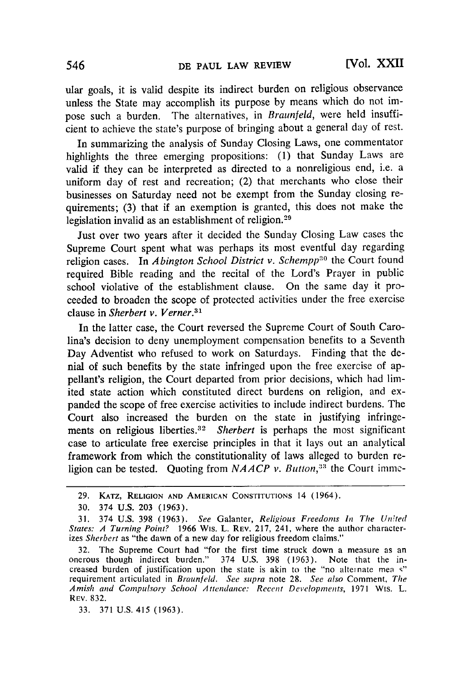ular goals, it is valid despite its indirect burden on religious observance unless the State may accomplish its purpose by means which do not impose such a burden. The alternatives, in *Braunfeld,* were held insufficient to achieve the state's purpose of bringing about a general day of rest.

In summarizing the analysis of Sunday Closing Laws, one commentator highlights the three emerging propositions: (1) that Sunday Laws are valid if they can be interpreted as directed to a nonreligious end, i.e. a uniform day of rest and recreation; (2) that merchants who close their businesses on Saturday need not be exempt from the Sunday closing requirements; (3) that if an exemption is granted, this does not make the legislation invalid as an establishment of religion.<sup>29</sup>

Just over two years after it decided the Sunday Closing Law cases the Supreme Court spent what was perhaps its most eventful day regarding religion cases. In *Abington School District v. Schempp'0* the Court found required Bible reading and the recital of the Lord's Prayer in public school violative of the establishment clause. On the same day it proceeded to broaden the scope of protected activities under the free exercise clause in *Sherbert v. Verner.3 <sup>1</sup>*

In the latter case, the Court reversed the Supreme Court of South Carolina's decision to deny unemployment compensation benefits to a Seventh Day Adventist who refused to work on Saturdays. Finding that the denial of such benefits by the state infringed upon the free exercise of appellant's religion, the Court departed from prior decisions, which had limited state action which constituted direct burdens on religion, and expanded the scope of free exercise activities to include indirect burdens. The Court also increased the burden on the state in justifying infringements on religious liberties.<sup>32</sup> Sherbert is perhaps the most significant case to articulate free exercise principles in that it lays out an analytical framework from which the constitutionality of laws alleged to burden religion can be tested. Quoting from *NAACP v. Button*<sup>33</sup> the Court imme-

33. 371 U.S. 415 (1963).

**<sup>29.</sup> KATZ, RELIGION AND AMERICAN CONSTITUTIONS** 14 (1964).

**<sup>30.</sup>** 374 U.S. **203 (1963).**

**<sup>31.</sup>** 374 U.S. **398** (1963). *See* Galanter, *Religious Freedoms In The United States: A Turning Point?* 1966 Wis. L. **REV. 217,** 241, where the author characterizes Sherbert as "the dawn of a new day for religious freedom claims."

**<sup>32.</sup>** The Supreme Court had "for the first time struck down a measure as an onerous though indirect burden." 374 U.S. **398** (1963). Note that the increased burden of justification upon the state is akin to the "no alteinate mea *s"* requirement articulated in *Braunfeld.* See *supra* note 28. *See also* Comment, *The Amish and Compulsory School Attendance: Recent Developments,* 1971 Wis. L. REV. 832.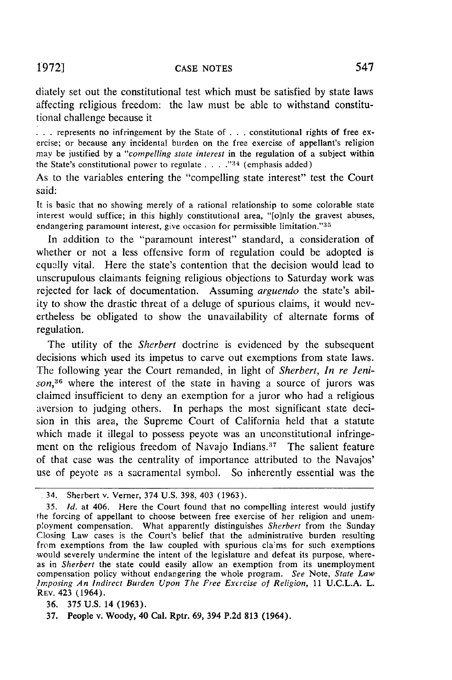diately set out the constitutional test which must be satisfied by state laws affecting religious freedom: the law must be able to withstand constitutional challenge because it

• **. .** represents no infringement by the State of . . . constitutional rights of free exercise; or because any incidental burden on the free exercise of appellant's religion may be justified by a *"compelling state interest* in the regulation of a subject within the State's constitutional power to regulate . . . .<sup>34</sup> (emphasis added)

As to the variables entering the "compelling state interest" test the Court said:

It is basic that no showing merely of a rational relationship to some colorable state interest would suffice; in this highly constitutional area, "[o]nly the gravest abuses, endangering paramount interest, give occasion for permissible limitation." $35$ 

In addition to the "paramount interest" standard, a consideration of whether or not a less offensive form of regulation could be adopted is cqually vital. Here the state's contention that the decision would lead to unscrupulous claimants feigning religious objections to Saturday work was rejected for lack of documentation. Assuming *arguendo* the state's ability to show the drastic threat of a deluge of spurious claims, it would nevertheless be obligated to show the unavailability of alternate forms of regulation.

The utility of the *Sherbert* doctrine is evidenced by the subsequent decisions which used its impetus to carve out exemptions from state laws. The following year the Court remanded, in light of *Sherbert, In re Jenison,36* where the interest of the state in having a source of jurors was claimed insufficient to deny an exemption for a juror who had a religious aversion to judging others. In perhaps the most significant state decision in this area, the Supreme Court of California held that a statute which made it illegal to possess peyote was an unconstitutional infringement on the religious freedom of Navajo Indians. $37$  The salient feature of that case was the centrality of importance attributed to the Navajos' use of peyote as a sacramental symbol. So inherently essential was the

<sup>34.</sup> Sherbert v. Verner, 374 U.S. 398, 403 (1963).

*<sup>35.</sup> Id.* at 406. Here the Court found that no compelling interest would justify the forcing of appellant to choose between free exercise of her religion and unemployment compensation. What apparently distinguishes *Sherbert* from the Sunday Closing Law cases is the Court's belief that the administrative burden resulting from exemptions from the law coupled with spurious cla'ms for such exemptions would severely undermine the intent of the legislature and defeat its purpose, whereas in *Sherbert* the state could easily allow an exemption from its unemployment compensation policy without endangering the whole program. *See* Note, *State Law Imposing An Indirect Burden Upon The Free Excrcise of Religion,* 11 U.C.L.A. L. REV. 423 (1964).

<sup>36. 375</sup> **U.S.** 14 **(1963).**

<sup>37.</sup> People v. Woody, 40 Cal. Rptr. **69,** 394 P.2d 813 (1964).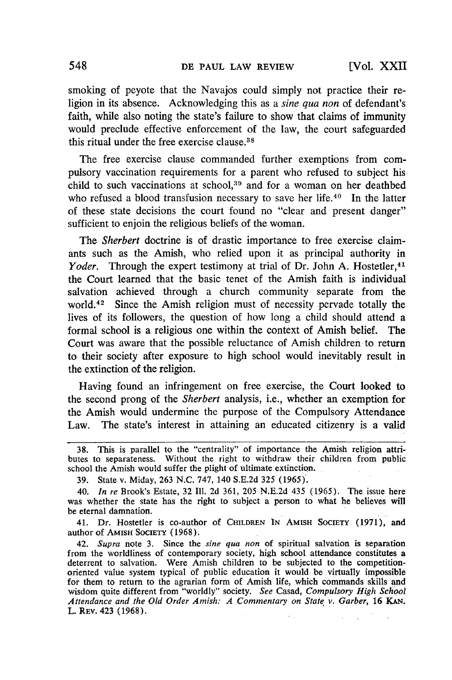smoking of peyote that the Navajos could simply not practice their religion in its absence. Acknowledging this as a *sine qua non* of defendant's faith, while also noting the state's failure to show that claims of immunity would preclude effective enforcement of the law, the court safeguarded this ritual under the free exercise clause.38

The free exercise clause commanded further exemptions from compulsory vaccination requirements for a parent who refused to subject his child to such vaccinations at school, $39$  and for a woman on her deathbed who refused a blood transfusion necessary to save her life.<sup>40</sup> In the latter of these state decisions the court found no "clear and present danger" sufficient to enjoin the religious beliefs of the woman.

The *Sherbert* doctrine is of drastic importance to free exercise claimants such as the Amish, who relied upon it as principal authority in *Yoder.* Through the expert testimony at trial of Dr. John A. Hostetler,<sup>41</sup> the Court learned that the basic tenet of the Amish faith is individual salvation achieved through a church community separate from the world.42 Since the Amish religion must of necessity pervade totally the lives of its followers, the question of how long a child should attend a formal school is a religious one within the context of Amish belief. The Court was aware that the possible reluctance of Amish children to return to their society after exposure to high school would inevitably result in the extinction of the religion.

Having found an infringement on free exercise, the Court looked to the second prong of the *Sherbert* analysis, i.e., whether an exemption for the Amish would undermine the purpose of the Compulsory Attendance Law. The state's interest in attaining an educated citizenry is a valid

41. Dr. Hostetler is co-author of CHILDREN **IN** AMIsH **SOCIETY (1971),** and author of AMISH SOCIETY (1968).

42. *Supra* note 3. Since the *sine qua non* of spiritual salvation is separation from the worldliness of contemporary society, high school attendance constitutes a deterrent to salvation. Were Amish children to be subjected to the competitionoriented value system typical of public education it would be virtually impossible for them to return to the agrarian form of Amish life, which commands skills and wisdom quite different from "worldly" society. *See* Casad, *Compulsory High School Attendance and the Old Order Amish: A Commentary on State v. Garber,* 16 KAN. L. REV. 423 **(1968).**

**<sup>38.</sup>** This is parallel to the "centrality" of importance the Amish religion attributes to separateness. Without the right to withdraw their children from public school the Amish would suffer the plight of ultimate extinction.

**<sup>39.</sup>** State v. Miday, **263** N.C. **747,** 140 S.E.2d 325 (1965).

<sup>40.</sup> *In re* Brook's Estate, 32 **I11.** 2d 361, 205 N.E.2d 435 (1965). The issue here was whether the state has the right to subject a person to what he believes will be eternal damnation.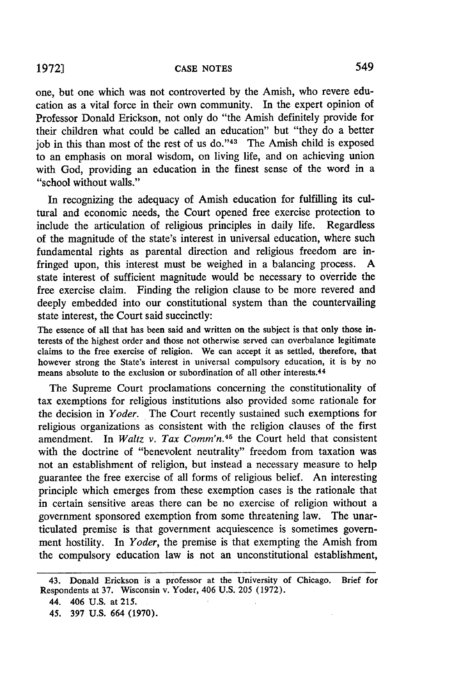# **19721 CASE NOTES** 549

one, but one which was not controverted by the Amish, who revere education as a vital force in their own community. In the expert opinion of Professor Donald Erickson, not only do "the Amish definitely provide for their children what could be called an education" but "they do a better job in this than most of the rest of us do."<sup>43</sup> The Amish child is exposed to an emphasis on moral wisdom, on living life, and on achieving union with God, providing an education in the finest sense of the word in a "school without walls."

In recognizing the adequacy of Amish education for fulfilling its cultural and economic needs, the Court opened free exercise protection to include the articulation of religious principles in daily life. Regardless of the magnitude of the state's interest in universal education, where such fundamental rights as parental direction and religious freedom are infringed upon, this interest must be weighed in a balancing process. A state interest of sufficient magnitude would be necessary to override the free exercise claim. Finding the religion clause to be more revered and deeply embedded into our constitutional system than the countervailing state interest, the Court said succinctly:

The essence of all that has been said and written on the subject is that only those interests of the highest order and those not otherwise served can overbalance legitimate claims to the free exercise of religion. We can accept it as settled, therefore, that however strong the State's interest in universal compulsory education, it is by no means absolute to the exclusion or subordination of all other interests.<sup>44</sup>

The Supreme Court proclamations concerning the constitutionality of tax exemptions for religious institutions also provided some rationale for the decision in *Yoder.* The Court recently sustained such exemptions for religious organizations as consistent with the religion clauses of the first amendment. In *Waltz v. Tax Comm'n.45* the Court held that consistent with the doctrine of "benevolent neutrality" freedom from taxation was not an establishment of religion, but instead a necessary measure to help guarantee the free exercise of all forms of religious belief. An interesting principle which emerges from these exemption cases is the rationale that in certain sensitive areas there can be no exercise of religion without a government sponsored exemption from some threatening law. The unarticulated premise is that government acquiescence is sometimes government hostility. In *Yoder,* the premise is that exempting the Amish from the compulsory education law is not an unconstitutional establishment,

<sup>43.</sup> Donald Erickson is a professor at the University of Chicago. Brief for Respondents at 37. Wisconsin v. Yoder, 406 U.S. 205 (1972).

<sup>44. 406</sup> U.S. at 215.

<sup>45. 397</sup> U.S. 664 (1970).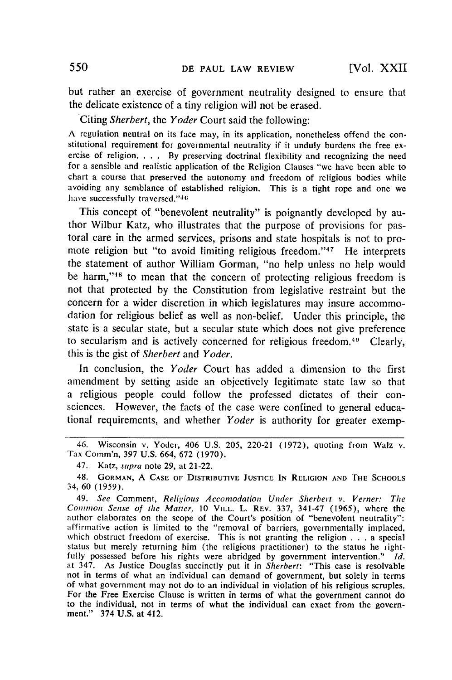but rather an exercise of government neutrality designed to ensure that the delicate existence of a tiny religion will not be erased.

Citing Sherbert, the Yoder Court said the following:

A regulation neutral on its face may, in its application, nonetheless offend the constitutional requirement for governmental neutrality if it unduly burdens the free exercise of religion.  $\ldots$ . By preserving doctrinal fl for a sensible and realistic application of the Religion Clauses "we have been able to chart a course that preserved the autonomy and freedom of religious bodies while avoiding any semblance of established religion. This is a tight rope and one we have successfully traversed."46

This concept of "benevolent neutrality" is poignantly developed by author Wilbur Katz, who illustrates that the purpose of provisions for pastoral care in the armed services, prisons and state hospitals is not to promote religion but "to avoid limiting religious freedom."<sup>47</sup> He interprets the statement of author William Gorman, "no help unless no help would be harm,"<sup>48</sup> to mean that the concern of protecting religious freedom is not that protected by the Constitution from legislative restraint but the concern for a wider discretion in which legislatures may insure accommodation for religious belief as well as non-belief. Under this principle, the state is a secular state, but a secular state which does not give preference to secularism and is actively concerned for religious freedom.<sup>49</sup> Clearly this is the gist of Sherbert and *Yoder.*

In conclusion, the *Yoder* Court has added a dimension to thc first amendment by setting aside an objectively legitimate state law so that a religious people could follow the professed dictates of their consciences. However, the facts of the case were confined to general educational requirements, and whether *Yoder* is authority for greater exemp-

<sup>46.</sup> Wisconsin v. Yoder, 406 U.S. 205, 220-21 (1972), quoting from Walz v. Tax Comm'n, **397 U.S.** 664, **672 (1970).**

<sup>47.</sup> Katz, *supra* note 29, at 21-22.

<sup>48.</sup> GORMAN, A CASE OF DISTRIBUTIVE JUSTICE **IN** RELIGION AND THE SCHOOLS 34, 60 (1959).

<sup>49.</sup> *See* Comment, *Religious Accomodation Under Sherbert v. Verner: The Common Sense of the Matter,* 10 **VILL.** L. REV. 337, 341-47 (1965), where the author elaborates on the scope of the Court's position of "benevolent neutrality": affirmative action is limited to the "removal of barriers, governmentally implaced, which obstruct freedom of exercise. This is not granting the religion . . . a special status but merely returning him (the religious practitioner) to the status he rightfully possessed before his rights were abridged by government intervention." *Id.* at 347. As Justice Douglas succinctly put it in *Sherbert:* "This case is resolvable not in terms of what an individual can demand of government, but solely in terms of what government may not do to an individual in violation of his religious scruples. For the Free Exercise Clause is written in terms of what the government cannot do to the individual, not in terms of what the individual can exact from the government." 374 U.S. at 412.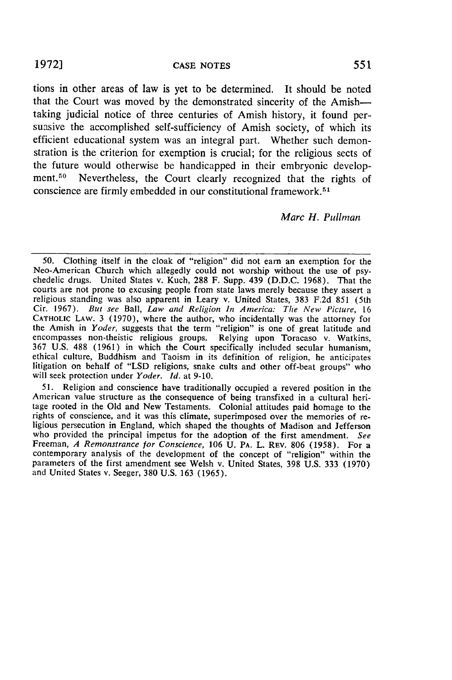#### **CASE NOTES**

tions in other areas of law is yet to be determined. It should be noted that the Court was moved **by** the demonstrated sincerity of the Amishtaking judicial notice of three centuries of Amish history, it found persuasive the accomplished self-sufficiency of Amish society, of which its efficient educational system was an integral part. Whether such demonstration is the criterion for exemption is crucial; for the religious sects of the future would otherwise be handicapped in their embryonic development.<sup>50</sup> Nevertheless, the Court clearly recognized that the rights of conscience are firmly embedded in our constitutional framework.<sup>51</sup>

#### *Marc H. Pullman*

**50.** Clothing itself in the cloak of "religion" did not earn an exemption for the chedelic drugs. United States v. Kuch, 288 F. Supp. 439 (D.D.C. 1968). That the courts are not prone to excusing people from state laws merely because they assert a religious standing was also apparent in Leary v. United States, **383** F.2d 851 (5th Cir. 1967). But see Ball, *Law and Religion In America: The New Picture,* 16 CATHOLIC LAW. 3 (1970), where the author, who incidentally was the attorney for the Amish in *Yoder,* suggests that the term "religion" is one of great latitude and encompasses non-theistic religious groups. Relying upon Toracaso v. Watkins, 367 U.S. 488 (1961) in which the Court specifically included secular humanism, ethical culture, Buddhism and Taoism in its definition of religion, he anticipates litigation on behalf of "LSD religions, snake cults and other off-beat groups" who will seek protection under *Yoder. Id.* at 9-10.

51. Religion and conscience have traditionally occupied a revered position in the American value structure as the consequence of being transfixed in a cultural heritage rooted in the Old and New Testaments. Colonial attitudes paid homage to the rights of conscience, and it was this climate, superimposed over the memories of re- ligious persecution in England, which shaped the thoughts of Madison and Jefferson who provided the principal impetus for the adoption of the first amendment. *See* Freeman, *A Remonstrance for Conscience*, 106 U. PA. L. REV. 806 (1958). For a contemporary analysis of the development of the concept of "religion" within the parameters of the first amendment see Welsh v. United States, 398 U.S. 333 (1970) and United States v. Seeger, 380 U.S. 163 (1965).